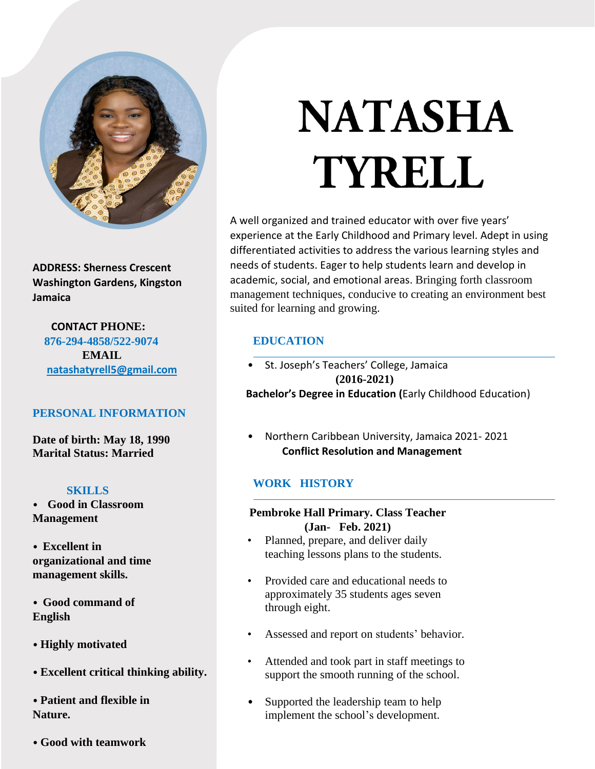

**ADDRESS: Sherness Crescent Washington Gardens, Kingston Jamaica**

 **CONTACT PHONE: 876-294-4858/522-9074 EMAIL [natashatyrell5@gmail.com](mailto:natashatyrell5@gmail.com)**

# **PERSONAL INFORMATION**

**Date of birth: May 18, 1990 Marital Status: Married**

# **SKILLS**

• **Good in Classroom Management**

- **Excellent in organizational and time management skills.**
- **Good command of English**

• **Highly motivated** 

• **Excellent critical thinking ability.**

• **Patient and flexible in Nature.**

• **Good with teamwork**

# **NATASHA** TYRELL

A well organized and trained educator with over five years' experience at the Early Childhood and Primary level. Adept in using differentiated activities to address the various learning styles and needs of students. Eager to help students learn and develop in academic, social, and emotional areas. Bringing forth classroom management techniques, conducive to creating an environment best suited for learning and growing.

# **EDUCATION**

- St. Joseph's Teachers' College, Jamaica **(2016-2021) Bachelor's Degree in Education (**Early Childhood Education)
- Northern Caribbean University, Jamaica 2021- 2021 **Conflict Resolution and Management**

# **WORK HISTORY**

## **Pembroke Hall Primary. Class Teacher (Jan- Feb. 2021)**

- Planned, prepare, and deliver daily teaching lessons plans to the students.
- Provided care and educational needs to approximately 35 students ages seven through eight.
- Assessed and report on students' behavior.
- Attended and took part in staff meetings to support the smooth running of the school.
- Supported the leadership team to help implement the school's development.